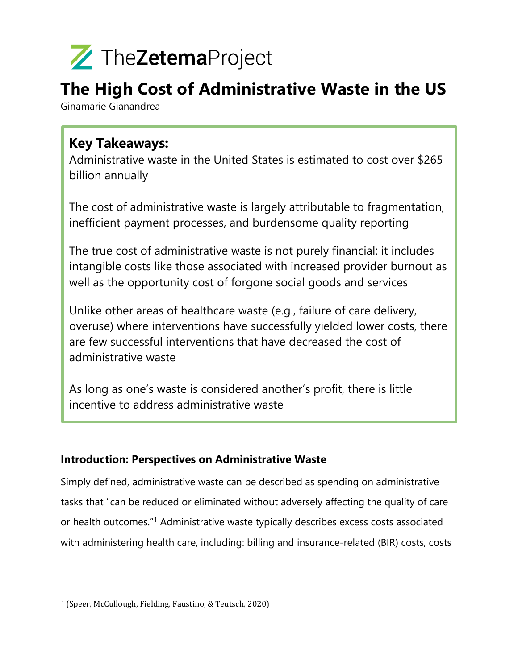

### **The High Cost of Administrative Waste in the US**

Ginamarie Gianandrea

### **Key Takeaways:**

Administrative waste in the United States is estimated to cost over \$265 billion annually

The cost of administrative waste is largely attributable to fragmentation, inefficient payment processes, and burdensome quality reporting

The true cost of administrative waste is not purely financial: it includes intangible costs like those associated with increased provider burnout as well as the opportunity cost of forgone social goods and services

Unlike other areas of healthcare waste (e.g., failure of care delivery, overuse) where interventions have successfully yielded lower costs, there are few successful interventions that have decreased the cost of administrative waste

As long as one's waste is considered another's profit, there is little incentive to address administrative waste

### **Introduction: Perspectives on Administrative Waste**

Simply defined, administrative waste can be described as spending on administrative tasks that "can be reduced or eliminated without adversely affecting the quality of care or health outcomes."1 Administrative waste typically describes excess costs associated with administering health care, including: billing and insurance-related (BIR) costs, costs

<sup>&</sup>lt;sup>1</sup> (Speer, McCullough, Fielding, Faustino, & Teutsch, 2020)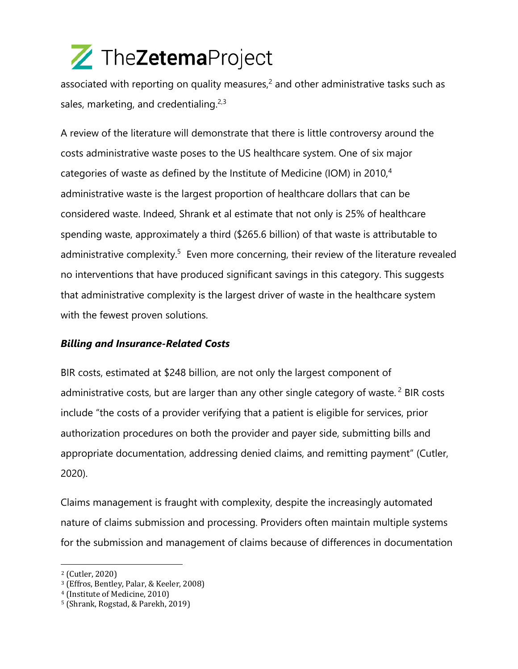associated with reporting on quality measures, $<sup>2</sup>$  and other administrative tasks such as</sup> sales, marketing, and credentialing.<sup>2,3</sup>

A review of the literature will demonstrate that there is little controversy around the costs administrative waste poses to the US healthcare system. One of six major categories of waste as defined by the Institute of Medicine (IOM) in 2010,<sup>4</sup> administrative waste is the largest proportion of healthcare dollars that can be considered waste. Indeed, Shrank et al estimate that not only is 25% of healthcare spending waste, approximately a third (\$265.6 billion) of that waste is attributable to administrative complexity.<sup>5</sup> Even more concerning, their review of the literature revealed no interventions that have produced significant savings in this category. This suggests that administrative complexity is the largest driver of waste in the healthcare system with the fewest proven solutions.

### *Billing and Insurance-Related Costs*

BIR costs, estimated at \$248 billion, are not only the largest component of administrative costs, but are larger than any other single category of waste.<sup>2</sup> BIR costs include "the costs of a provider verifying that a patient is eligible for services, prior authorization procedures on both the provider and payer side, submitting bills and appropriate documentation, addressing denied claims, and remitting payment" (Cutler, 2020).

Claims management is fraught with complexity, despite the increasingly automated nature of claims submission and processing. Providers often maintain multiple systems for the submission and management of claims because of differences in documentation

<sup>&</sup>lt;sup>2</sup> (Cutler, 2020)

<sup>&</sup>lt;sup>3</sup> (Effros, Bentley, Palar, & Keeler, 2008)

<sup>&</sup>lt;sup>4</sup> (Institute of Medicine, 2010)

<sup>&</sup>lt;sup>5</sup> (Shrank, Rogstad, & Parekh, 2019)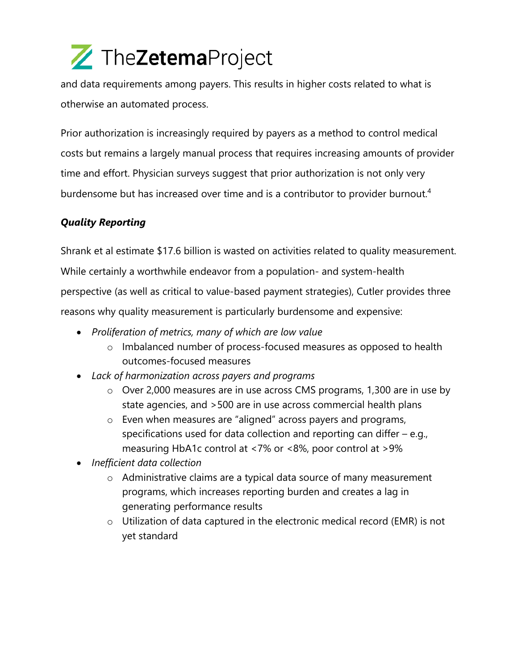and data requirements among payers. This results in higher costs related to what is otherwise an automated process.

Prior authorization is increasingly required by payers as a method to control medical costs but remains a largely manual process that requires increasing amounts of provider time and effort. Physician surveys suggest that prior authorization is not only very burdensome but has increased over time and is a contributor to provider burnout.<sup>4</sup>

### *Quality Reporting*

Shrank et al estimate \$17.6 billion is wasted on activities related to quality measurement. While certainly a worthwhile endeavor from a population- and system-health perspective (as well as critical to value-based payment strategies), Cutler provides three reasons why quality measurement is particularly burdensome and expensive:

- *Proliferation of metrics, many of which are low value*
	- o Imbalanced number of process-focused measures as opposed to health outcomes-focused measures
- *Lack of harmonization across payers and programs*
	- o Over 2,000 measures are in use across CMS programs, 1,300 are in use by state agencies, and >500 are in use across commercial health plans
	- o Even when measures are "aligned" across payers and programs, specifications used for data collection and reporting can differ – e.g., measuring HbA1c control at <7% or <8%, poor control at >9%
- *Inefficient data collection*
	- o Administrative claims are a typical data source of many measurement programs, which increases reporting burden and creates a lag in generating performance results
	- o Utilization of data captured in the electronic medical record (EMR) is not yet standard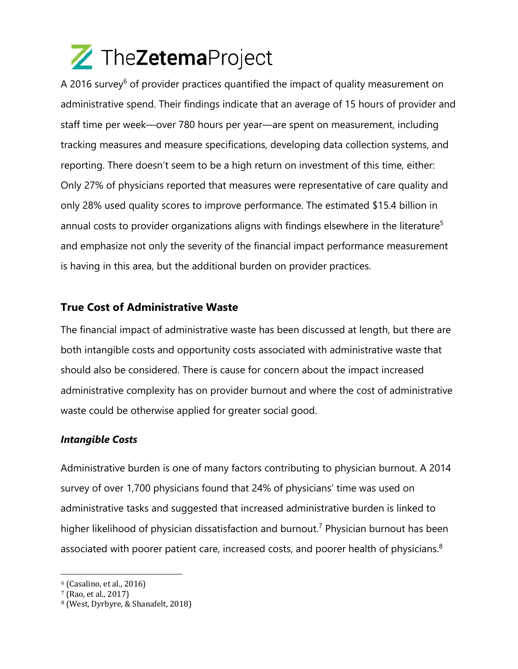A 2016 survey<sup>6</sup> of provider practices quantified the impact of quality measurement on administrative spend. Their findings indicate that an average of 15 hours of provider and staff time per week—over 780 hours per year—are spent on measurement, including tracking measures and measure specifications, developing data collection systems, and reporting. There doesn't seem to be a high return on investment of this time, either: Only 27% of physicians reported that measures were representative of care quality and only 28% used quality scores to improve performance. The estimated \$15.4 billion in annual costs to provider organizations aligns with findings elsewhere in the literature<sup>5</sup> and emphasize not only the severity of the financial impact performance measurement is having in this area, but the additional burden on provider practices.

### **True Cost of Administrative Waste**

The financial impact of administrative waste has been discussed at length, but there are both intangible costs and opportunity costs associated with administrative waste that should also be considered. There is cause for concern about the impact increased administrative complexity has on provider burnout and where the cost of administrative waste could be otherwise applied for greater social good.

#### *Intangible Costs*

Administrative burden is one of many factors contributing to physician burnout. A 2014 survey of over 1,700 physicians found that 24% of physicians' time was used on administrative tasks and suggested that increased administrative burden is linked to higher likelihood of physician dissatisfaction and burnout.<sup>7</sup> Physician burnout has been associated with poorer patient care, increased costs, and poorer health of physicians.<sup>8</sup>

 $6$  (Casalino, et al., 2016)

<sup>7 (</sup>Rao, et al., 2017)

<sup>&</sup>lt;sup>8</sup> (West, Dyrbyre, & Shanafelt, 2018)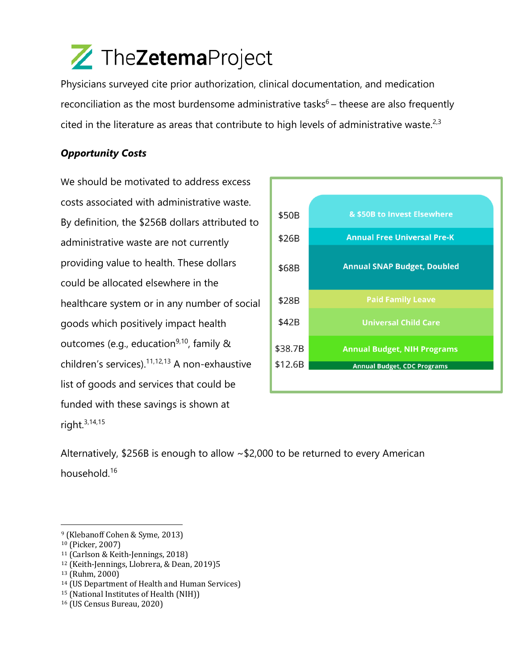Physicians surveyed cite prior authorization, clinical documentation, and medication reconciliation as the most burdensome administrative tasks $6$  – theese are also frequently cited in the literature as areas that contribute to high levels of administrative waste.<sup>2,3</sup>

### *Opportunity Costs*

We should be motivated to address excess costs associated with administrative waste. By definition, the \$256B dollars attributed to administrative waste are not currently providing value to health. These dollars could be allocated elsewhere in the healthcare system or in any number of social goods which positively impact health outcomes (e.g., education<sup>9,10</sup>, family  $\&$ children's services).<sup>11,12,13</sup> A non-exhaustive list of goods and services that could be funded with these savings is shown at right.3,14,15



Alternatively, \$256B is enough to allow ~\$2,000 to be returned to every American household.16

<sup>&</sup>lt;sup>9</sup> (Klebanoff Cohen & Syme, 2013)

<sup>&</sup>lt;sup>10</sup> (Picker, 2007)

<sup>&</sup>lt;sup>11</sup> (Carlson & Keith-Jennings, 2018)

<sup>&</sup>lt;sup>12</sup> (Keith-Jennings, Llobrera, & Dean, 2019)5

<sup>13 (</sup>Ruhm, 2000)

<sup>&</sup>lt;sup>14</sup> (US Department of Health and Human Services)

<sup>&</sup>lt;sup>15</sup> (National Institutes of Health (NIH))

<sup>&</sup>lt;sup>16</sup> (US Census Bureau, 2020)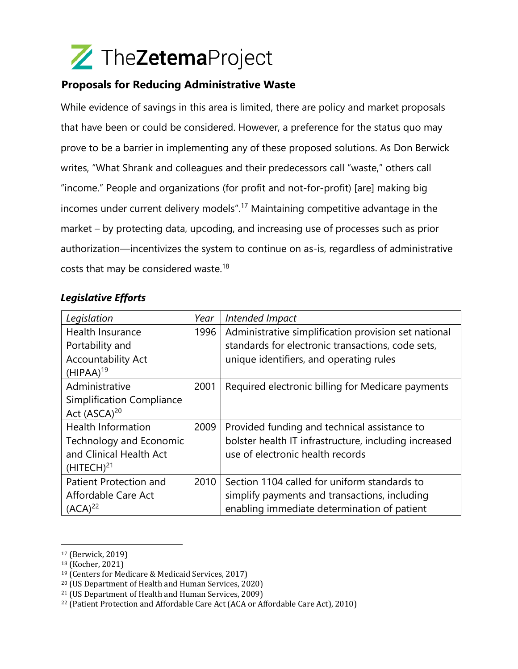### **Proposals for Reducing Administrative Waste**

While evidence of savings in this area is limited, there are policy and market proposals that have been or could be considered. However, a preference for the status quo may prove to be a barrier in implementing any of these proposed solutions. As Don Berwick writes, "What Shrank and colleagues and their predecessors call "waste," others call "income." People and organizations (for profit and not-for-profit) [are] making big incomes under current delivery models".17 Maintaining competitive advantage in the market – by protecting data, upcoding, and increasing use of processes such as prior authorization—incentivizes the system to continue on as-is, regardless of administrative costs that may be considered waste.<sup>18</sup>

#### *Legislative Efforts*

| Legislation                      | Year | Intended Impact                                       |
|----------------------------------|------|-------------------------------------------------------|
| Health Insurance                 | 1996 | Administrative simplification provision set national  |
| Portability and                  |      | standards for electronic transactions, code sets,     |
| <b>Accountability Act</b>        |      | unique identifiers, and operating rules               |
| $(HIPAA)^{19}$                   |      |                                                       |
| Administrative                   | 2001 | Required electronic billing for Medicare payments     |
| <b>Simplification Compliance</b> |      |                                                       |
| Act (ASCA) <sup>20</sup>         |      |                                                       |
| <b>Health Information</b>        | 2009 | Provided funding and technical assistance to          |
| Technology and Economic          |      | bolster health IT infrastructure, including increased |
| and Clinical Health Act          |      | use of electronic health records                      |
| (HITECH) <sup>21</sup>           |      |                                                       |
| Patient Protection and           | 2010 | Section 1104 called for uniform standards to          |
| Affordable Care Act              |      | simplify payments and transactions, including         |
| $(ACA)^{22}$                     |      | enabling immediate determination of patient           |

<sup>&</sup>lt;sup>17</sup> (Berwick, 2019)

<sup>&</sup>lt;sup>18</sup> (Kocher, 2021)

<sup>&</sup>lt;sup>19</sup> (Centers for Medicare & Medicaid Services, 2017)

<sup>&</sup>lt;sup>20</sup> (US Department of Health and Human Services, 2020)

<sup>&</sup>lt;sup>21</sup> (US Department of Health and Human Services, 2009)

 $22$  (Patient Protection and Affordable Care Act (ACA or Affordable Care Act), 2010)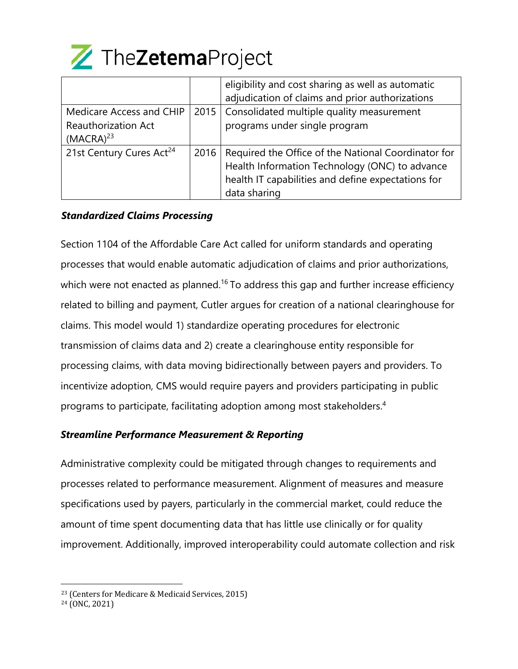

|                                      |      | eligibility and cost sharing as well as automatic   |
|--------------------------------------|------|-----------------------------------------------------|
|                                      |      | adjudication of claims and prior authorizations     |
| Medicare Access and CHIP             | 2015 | Consolidated multiple quality measurement           |
| <b>Reauthorization Act</b>           |      | programs under single program                       |
| $(MACRA)^{23}$                       |      |                                                     |
| 21st Century Cures Act <sup>24</sup> | 2016 | Required the Office of the National Coordinator for |
|                                      |      | Health Information Technology (ONC) to advance      |
|                                      |      | health IT capabilities and define expectations for  |
|                                      |      | data sharing                                        |

#### *Standardized Claims Processing*

Section 1104 of the Affordable Care Act called for uniform standards and operating processes that would enable automatic adjudication of claims and prior authorizations, which were not enacted as planned.<sup>16</sup> To address this gap and further increase efficiency related to billing and payment, Cutler argues for creation of a national clearinghouse for claims. This model would 1) standardize operating procedures for electronic transmission of claims data and 2) create a clearinghouse entity responsible for processing claims, with data moving bidirectionally between payers and providers. To incentivize adoption, CMS would require payers and providers participating in public programs to participate, facilitating adoption among most stakeholders. 4

#### *Streamline Performance Measurement & Reporting*

Administrative complexity could be mitigated through changes to requirements and processes related to performance measurement. Alignment of measures and measure specifications used by payers, particularly in the commercial market, could reduce the amount of time spent documenting data that has little use clinically or for quality improvement. Additionally, improved interoperability could automate collection and risk

<sup>&</sup>lt;sup>23</sup> (Centers for Medicare & Medicaid Services, 2015)

<sup>&</sup>lt;sup>24</sup> (ONC, 2021)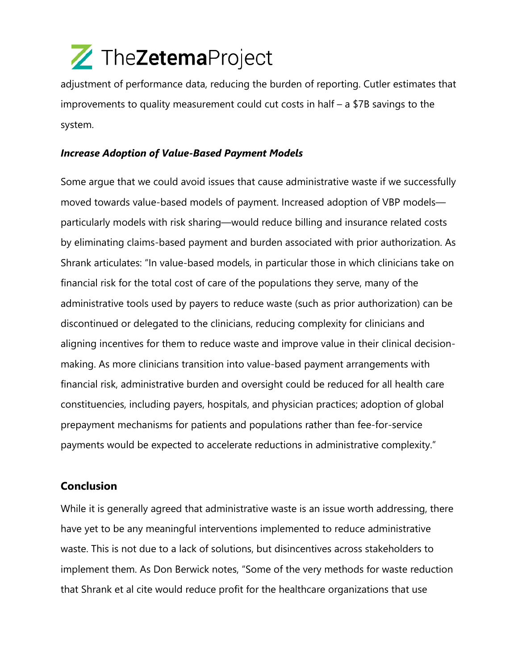adjustment of performance data, reducing the burden of reporting. Cutler estimates that improvements to quality measurement could cut costs in half – a \$7B savings to the system.

#### *Increase Adoption of Value-Based Payment Models*

Some argue that we could avoid issues that cause administrative waste if we successfully moved towards value-based models of payment. Increased adoption of VBP models particularly models with risk sharing—would reduce billing and insurance related costs by eliminating claims-based payment and burden associated with prior authorization. As Shrank articulates: "In value-based models, in particular those in which clinicians take on financial risk for the total cost of care of the populations they serve, many of the administrative tools used by payers to reduce waste (such as prior authorization) can be discontinued or delegated to the clinicians, reducing complexity for clinicians and aligning incentives for them to reduce waste and improve value in their clinical decisionmaking. As more clinicians transition into value-based payment arrangements with financial risk, administrative burden and oversight could be reduced for all health care constituencies, including payers, hospitals, and physician practices; adoption of global prepayment mechanisms for patients and populations rather than fee-for-service payments would be expected to accelerate reductions in administrative complexity."

### **Conclusion**

While it is generally agreed that administrative waste is an issue worth addressing, there have yet to be any meaningful interventions implemented to reduce administrative waste. This is not due to a lack of solutions, but disincentives across stakeholders to implement them. As Don Berwick notes, "Some of the very methods for waste reduction that Shrank et al cite would reduce profit for the healthcare organizations that use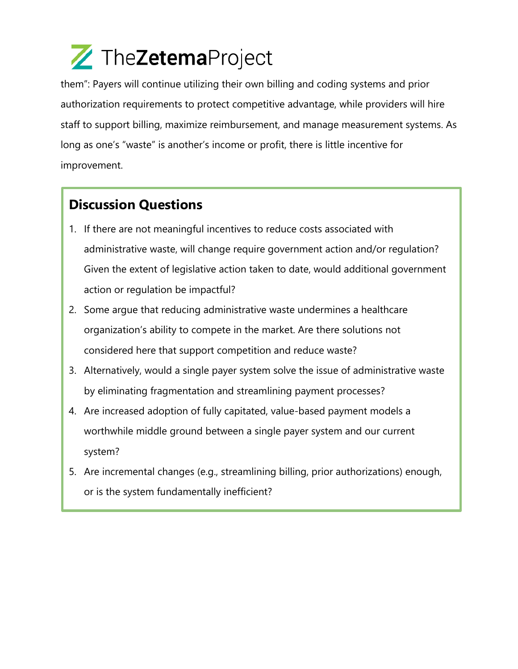them": Payers will continue utilizing their own billing and coding systems and prior authorization requirements to protect competitive advantage, while providers will hire staff to support billing, maximize reimbursement, and manage measurement systems. As long as one's "waste" is another's income or profit, there is little incentive for improvement.

### **Discussion Questions**

- 1. If there are not meaningful incentives to reduce costs associated with administrative waste, will change require government action and/or regulation? Given the extent of legislative action taken to date, would additional government action or regulation be impactful?
- 2. Some argue that reducing administrative waste undermines a healthcare organization's ability to compete in the market. Are there solutions not considered here that support competition and reduce waste?
- 3. Alternatively, would a single payer system solve the issue of administrative waste by eliminating fragmentation and streamlining payment processes?
- 4. Are increased adoption of fully capitated, value-based payment models a worthwhile middle ground between a single payer system and our current system?
- 5. Are incremental changes (e.g., streamlining billing, prior authorizations) enough, or is the system fundamentally inefficient?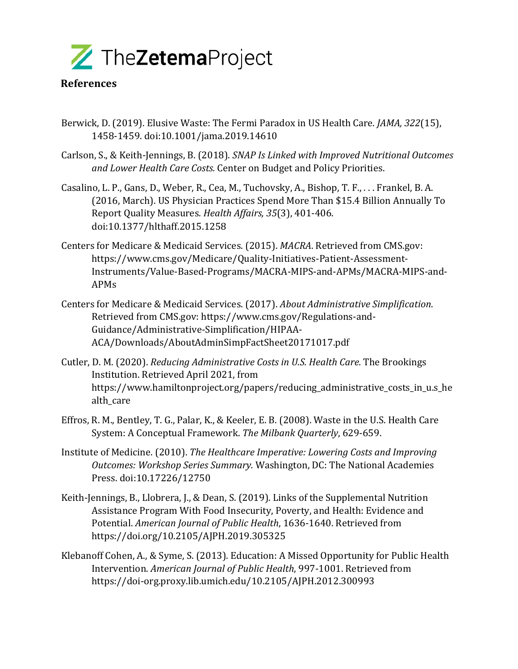

#### **References**

- Berwick, D. (2019). Elusive Waste: The Fermi Paradox in US Health Care. *JAMA*, 322(15). 1458-1459. doi:10.1001/jama.2019.14610
- Carlson, S., & Keith-Jennings, B. (2018). *SNAP Is Linked with Improved Nutritional Outcomes* and Lower Health Care Costs. Center on Budget and Policy Priorities.
- Casalino, L. P., Gans, D., Weber, R., Cea, M., Tuchovsky, A., Bishop, T. F., ... Frankel, B. A. (2016, March). US Physician Practices Spend More Than \$15.4 Billion Annually To Report Quality Measures. *Health Affairs, 35*(3), 401-406. doi:10.1377/hlthaff.2015.1258
- Centers for Medicare & Medicaid Services. (2015). *MACRA*. Retrieved from CMS.gov: https://www.cms.gov/Medicare/Quality-Initiatives-Patient-Assessment-Instruments/Value-Based-Programs/MACRA-MIPS-and-APMs/MACRA-MIPS-and-APMs
- Centers for Medicare & Medicaid Services. (2017). *About Administrative Simplification*. Retrieved from CMS.gov: https://www.cms.gov/Regulations-and-Guidance/Administrative-Simplification/HIPAA-ACA/Downloads/AboutAdminSimpFactSheet20171017.pdf
- Cutler, D. M. (2020). *Reducing Administrative Costs in U.S. Health Care.* The Brookings Institution. Retrieved April 2021, from https://www.hamiltonproject.org/papers/reducing\_administrative\_costs\_in\_u.s\_he alth care
- Effros, R. M., Bentley, T. G., Palar, K., & Keeler, E. B. (2008). Waste in the U.S. Health Care System: A Conceptual Framework. The Milbank Quarterly, 629-659.
- Institute of Medicine. (2010). *The Healthcare Imperative: Lowering Costs and Improving Outcomes: Workshop Series Summary. Washington, DC: The National Academies* Press. doi:10.17226/12750
- Keith-Jennings, B., Llobrera, J., & Dean, S. (2019). Links of the Supplemental Nutrition Assistance Program With Food Insecurity, Poverty, and Health: Evidence and Potential. *American Journal of Public Health*, 1636-1640. Retrieved from https://doi.org/10.2105/AJPH.2019.305325
- Klebanoff Cohen, A., & Syme, S. (2013). Education: A Missed Opportunity for Public Health Intervention. *American Journal of Public Health*, 997-1001. Retrieved from https://doi-org.proxy.lib.umich.edu/10.2105/AJPH.2012.300993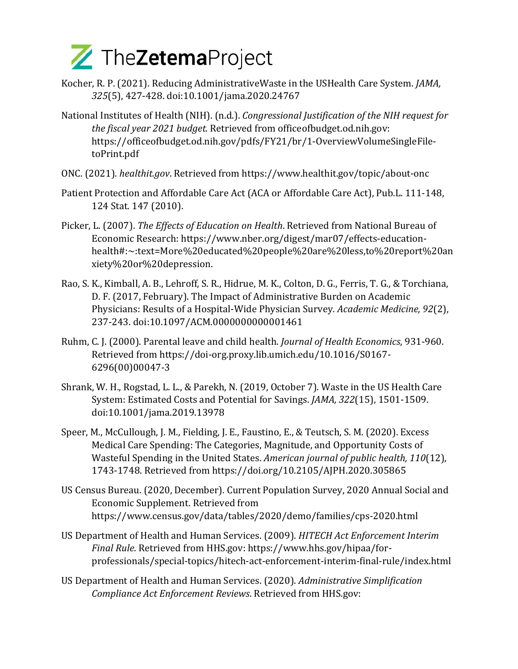- Kocher, R. P. (2021). Reducing AdministrativeWaste in the USHealth Care System. *JAMA*, *325*(5), 427-428. doi:10.1001/jama.2020.24767
- National Institutes of Health (NIH). (n.d.). *Congressional Justification of the NIH request for the fiscal year 2021 budget.* Retrieved from officeofbudget.od.nih.gov: https://officeofbudget.od.nih.gov/pdfs/FY21/br/1-OverviewVolumeSingleFiletoPrint.pdf
- ONC. (2021). *healthit.gov*. Retrieved from https://www.healthit.gov/topic/about-onc
- Patient Protection and Affordable Care Act (ACA or Affordable Care Act), Pub.L. 111-148, 124 Stat. 147 (2010).
- Picker, L. (2007). *The Effects of Education on Health*. Retrieved from National Bureau of Economic Research: https://www.nber.org/digest/mar07/effects-educationhealth#:~:text=More%20educated%20people%20are%20less,to%20report%20an xiety%20or%20depression.
- Rao, S. K., Kimball, A. B., Lehroff, S. R., Hidrue, M. K., Colton, D. G., Ferris, T. G., & Torchiana, D. F. (2017, February). The Impact of Administrative Burden on Academic Physicians: Results of a Hospital-Wide Physician Survey. *Academic Medicine*, 92(2), 237-243. doi:10.1097/ACM.0000000000001461
- Ruhm, C. J. (2000). Parental leave and child health. *Journal of Health Economics*, 931-960. Retrieved from https://doi-org.proxy.lib.umich.edu/10.1016/S0167-6296(00)00047-3
- Shrank, W. H., Rogstad, L. L., & Parekh, N. (2019, October 7). Waste in the US Health Care System: Estimated Costs and Potential for Savings. *JAMA*, 322(15), 1501-1509. doi:10.1001/jama.2019.13978
- Speer, M., McCullough, J. M., Fielding, J. E., Faustino, E., & Teutsch, S. M. (2020). Excess Medical Care Spending: The Categories, Magnitude, and Opportunity Costs of Wasteful Spending in the United States. American journal of public health, 110(12), 1743-1748. Retrieved from https://doi.org/10.2105/AJPH.2020.305865
- US Census Bureau. (2020, December). Current Population Survey, 2020 Annual Social and Economic Supplement. Retrieved from https://www.census.gov/data/tables/2020/demo/families/cps-2020.html
- US Department of Health and Human Services. (2009). *HITECH Act Enforcement Interim Final Rule*. Retrieved from HHS.gov: https://www.hhs.gov/hipaa/forprofessionals/special-topics/hitech-act-enforcement-interim-final-rule/index.html
- US Department of Health and Human Services. (2020). *Administrative Simplification Compliance Act Enforcement Reviews*. Retrieved from HHS.gov: